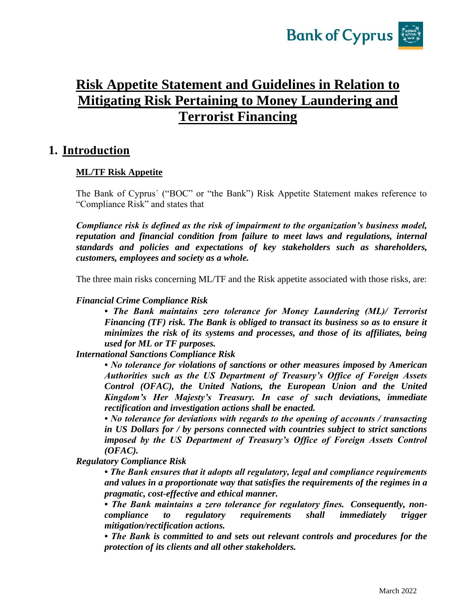

# **Risk Appetite Statement and Guidelines in Relation to Mitigating Risk Pertaining to Money Laundering and Terrorist Financing**

### **1. Introduction**

#### **ML/TF Risk Appetite**

The Bank of Cyprus´ ("BOC" or "the Bank") Risk Appetite Statement makes reference to "Compliance Risk" and states that

*Compliance risk is defined as the risk of impairment to the organization's business model, reputation and financial condition from failure to meet laws and regulations, internal standards and policies and expectations of key stakeholders such as shareholders, customers, employees and society as a whole.*

The three main risks concerning ML/TF and the Risk appetite associated with those risks, are:

#### *Financial Crime Compliance Risk*

*• The Bank maintains zero tolerance for Money Laundering (ML)/ Terrorist Financing (TF) risk. The Bank is obliged to transact its business so as to ensure it minimizes the risk of its systems and processes, and those of its affiliates, being used for ML or TF purposes.* 

*International Sanctions Compliance Risk* 

*• No tolerance for violations of sanctions or other measures imposed by American Authorities such as the US Department of Treasury's Office of Foreign Assets Control (OFAC), the United Nations, the European Union and the United Kingdom's Her Majesty's Treasury. In case of such deviations, immediate rectification and investigation actions shall be enacted.* 

*• No tolerance for deviations with regards to the opening of accounts / transacting in US Dollars for / by persons connected with countries subject to strict sanctions imposed by the US Department of Treasury's Office of Foreign Assets Control (OFAC).* 

*Regulatory Compliance Risk* 

*• The Bank ensures that it adopts all regulatory, legal and compliance requirements and values in a proportionate way that satisfies the requirements of the regimes in a pragmatic, cost-effective and ethical manner.* 

*• The Bank maintains a zero tolerance for regulatory fines. Consequently, noncompliance to regulatory requirements shall immediately trigger mitigation/rectification actions.* 

*• The Bank is committed to and sets out relevant controls and procedures for the protection of its clients and all other stakeholders.*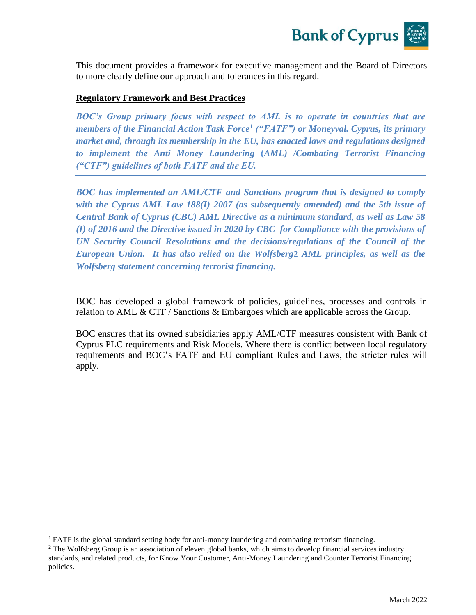

This document provides a framework for executive management and the Board of Directors to more clearly define our approach and tolerances in this regard.

#### **Regulatory Framework and Best Practices**

*BOC's Group primary focus with respect to AML is to operate in countries that are members of the Financial Action Task Force<sup>1</sup> ("FATF") or Moneyval. Cyprus, its primary market and, through its membership in the EU, has enacted laws and regulations designed to implement the Anti Money Laundering* **(***AML) /Combating Terrorist Financing ("CTF") guidelines of both FATF and the EU.* 

*BOC has implemented an AML/CTF and Sanctions program that is designed to comply*  with the Cyprus AML Law 188(I) 2007 (as subsequently amended) and the 5th issue of *Central Bank of Cyprus (CBC) AML Directive as a minimum standard, as well as Law 58 (I) of 2016 and the Directive issued in 2020 by CBC for Compliance with the provisions of UN Security Council Resolutions and the decisions/regulations of the Council of the European Union. It has also relied on the Wolfsberg*2 *AML principles, as well as the Wolfsberg statement concerning terrorist financing.*

BOC has developed a global framework of policies, guidelines, processes and controls in relation to AML & CTF / Sanctions & Embargoes which are applicable across the Group.

BOC ensures that its owned subsidiaries apply AML/CTF measures consistent with Bank of Cyprus PLC requirements and Risk Models. Where there is conflict between local regulatory requirements and BOC's FATF and EU compliant Rules and Laws, the stricter rules will apply.

<sup>&</sup>lt;sup>1</sup> FATF is the global standard setting body for anti-money laundering and combating terrorism financing.

<sup>&</sup>lt;sup>2</sup> The Wolfsberg Group is an association of eleven global banks, which aims to develop financial services industry standards, and related products, for Know Your Customer, Anti-Money Laundering and Counter Terrorist Financing policies.